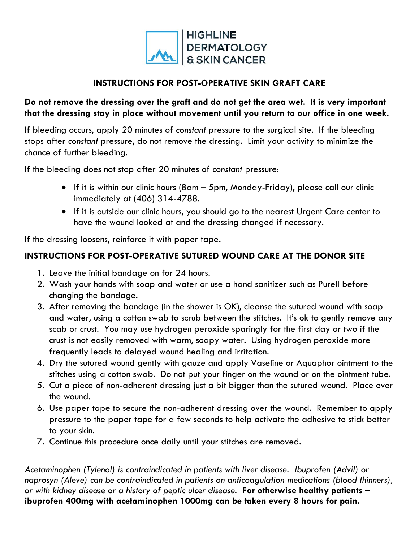

## **INSTRUCTIONS FOR POST-OPERATIVE SKIN GRAFT CARE**

## **Do not remove the dressing over the graft and do not get the area wet. It is very important that the dressing stay in place without movement until you return to our office in one week.**

If bleeding occurs, apply 20 minutes of *constant* pressure to the surgical site. If the bleeding stops after *constant* pressure, do not remove the dressing. Limit your activity to minimize the chance of further bleeding.

If the bleeding does not stop after 20 minutes of *constant* pressure:

- If it is within our clinic hours (8am 5pm, Monday-Friday), please call our clinic immediately at (406) 314-4788.
- If it is outside our clinic hours, you should go to the nearest Urgent Care center to have the wound looked at and the dressing changed if necessary.

If the dressing loosens, reinforce it with paper tape.

## **INSTRUCTIONS FOR POST-OPERATIVE SUTURED WOUND CARE AT THE DONOR SITE**

- 1. Leave the initial bandage on for 24 hours.
- 2. Wash your hands with soap and water or use a hand sanitizer such as Purell before changing the bandage.
- 3. After removing the bandage (in the shower is OK), cleanse the sutured wound with soap and water, using a cotton swab to scrub between the stitches. It's ok to gently remove any scab or crust. You may use hydrogen peroxide sparingly for the first day or two if the crust is not easily removed with warm, soapy water. Using hydrogen peroxide more frequently leads to delayed wound healing and irritation.
- 4. Dry the sutured wound gently with gauze and apply Vaseline or Aquaphor ointment to the stitches using a cotton swab. Do not put your finger on the wound or on the ointment tube.
- 5. Cut a piece of non-adherent dressing just a bit bigger than the sutured wound. Place over the wound.
- 6. Use paper tape to secure the non-adherent dressing over the wound. Remember to apply pressure to the paper tape for a few seconds to help activate the adhesive to stick better to your skin.
- 7. Continue this procedure once daily until your stitches are removed.

*Acetaminophen (Tylenol) is contraindicated in patients with liver disease. Ibuprofen (Advil) or naprosyn (Aleve) can be contraindicated in patients on anticoagulation medications (blood thinners), or with kidney disease or a history of peptic ulcer disease.* **For otherwise healthy patients – ibuprofen 400mg with acetaminophen 1000mg can be taken every 8 hours for pain.**